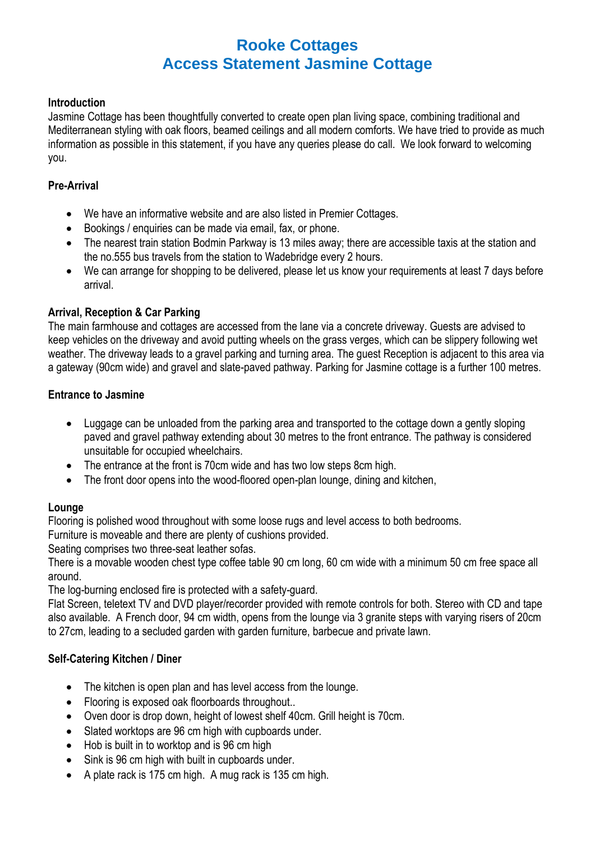# **Rooke Cottages Access Statement Jasmine Cottage**

### **Introduction**

Jasmine Cottage has been thoughtfully converted to create open plan living space, combining traditional and Mediterranean styling with oak floors, beamed ceilings and all modern comforts. We have tried to provide as much information as possible in this statement, if you have any queries please do call. We look forward to welcoming you.

### **Pre-Arrival**

- We have an informative website and are also listed in Premier Cottages.
- Bookings / enquiries can be made via email, fax, or phone.
- The nearest train station Bodmin Parkway is 13 miles away; there are accessible taxis at the station and the no.555 bus travels from the station to Wadebridge every 2 hours.
- We can arrange for shopping to be delivered, please let us know your requirements at least 7 days before arrival.

### **Arrival, Reception & Car Parking**

The main farmhouse and cottages are accessed from the lane via a concrete driveway. Guests are advised to keep vehicles on the driveway and avoid putting wheels on the grass verges, which can be slippery following wet weather. The driveway leads to a gravel parking and turning area. The guest Reception is adjacent to this area via a gateway (90cm wide) and gravel and slate-paved pathway. Parking for Jasmine cottage is a further 100 metres.

### **Entrance to Jasmine**

- Luggage can be unloaded from the parking area and transported to the cottage down a gently sloping paved and gravel pathway extending about 30 metres to the front entrance. The pathway is considered unsuitable for occupied wheelchairs.
- The entrance at the front is 70cm wide and has two low steps 8cm high.
- The front door opens into the wood-floored open-plan lounge, dining and kitchen,

## **Lounge**

Flooring is polished wood throughout with some loose rugs and level access to both bedrooms.

Furniture is moveable and there are plenty of cushions provided.

Seating comprises two three-seat leather sofas.

There is a movable wooden chest type coffee table 90 cm long, 60 cm wide with a minimum 50 cm free space all around.

The log-burning enclosed fire is protected with a safety-guard.

Flat Screen, teletext TV and DVD player/recorder provided with remote controls for both. Stereo with CD and tape also available. A French door, 94 cm width, opens from the lounge via 3 granite steps with varying risers of 20cm to 27cm, leading to a secluded garden with garden furniture, barbecue and private lawn.

## **Self-Catering Kitchen / Diner**

- The kitchen is open plan and has level access from the lounge.
- Flooring is exposed oak floorboards throughout..
- Oven door is drop down, height of lowest shelf 40cm. Grill height is 70cm.
- Slated worktops are 96 cm high with cupboards under.
- Hob is built in to worktop and is 96 cm high
- Sink is 96 cm high with built in cupboards under.
- A plate rack is 175 cm high. A mug rack is 135 cm high.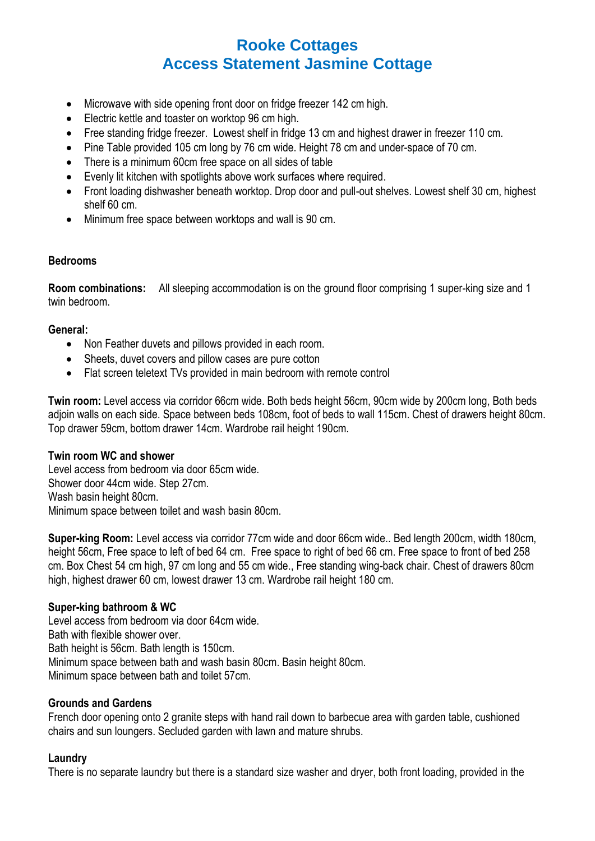# **Rooke Cottages Access Statement Jasmine Cottage**

- Microwave with side opening front door on fridge freezer 142 cm high.
- Electric kettle and toaster on worktop 96 cm high.
- Free standing fridge freezer. Lowest shelf in fridge 13 cm and highest drawer in freezer 110 cm.
- Pine Table provided 105 cm long by 76 cm wide. Height 78 cm and under-space of 70 cm.
- There is a minimum 60cm free space on all sides of table
- Evenly lit kitchen with spotlights above work surfaces where required.
- Front loading dishwasher beneath worktop. Drop door and pull-out shelves. Lowest shelf 30 cm, highest shelf 60 cm.
- Minimum free space between worktops and wall is 90 cm.

#### **Bedrooms**

**Room combinations:** All sleeping accommodation is on the ground floor comprising 1 super-king size and 1 twin bedroom.

#### **General:**

- Non Feather duvets and pillows provided in each room.
- Sheets, duvet covers and pillow cases are pure cotton
- Flat screen teletext TVs provided in main bedroom with remote control

**Twin room:** Level access via corridor 66cm wide. Both beds height 56cm, 90cm wide by 200cm long, Both beds adjoin walls on each side. Space between beds 108cm, foot of beds to wall 115cm. Chest of drawers height 80cm. Top drawer 59cm, bottom drawer 14cm. Wardrobe rail height 190cm.

#### **Twin room WC and shower**

Level access from bedroom via door 65cm wide. Shower door 44cm wide. Step 27cm. Wash basin height 80cm. Minimum space between toilet and wash basin 80cm.

**Super-king Room:** Level access via corridor 77cm wide and door 66cm wide.. Bed length 200cm, width 180cm, height 56cm. Free space to left of bed 64 cm. Free space to right of bed 66 cm. Free space to front of bed 258 cm. Box Chest 54 cm high, 97 cm long and 55 cm wide., Free standing wing-back chair. Chest of drawers 80cm high, highest drawer 60 cm, lowest drawer 13 cm. Wardrobe rail height 180 cm.

#### **Super-king bathroom & WC**

Level access from bedroom via door 64cm wide. Bath with flexible shower over. Bath height is 56cm. Bath length is 150cm. Minimum space between bath and wash basin 80cm. Basin height 80cm. Minimum space between bath and toilet 57cm.

#### **Grounds and Gardens**

French door opening onto 2 granite steps with hand rail down to barbecue area with garden table, cushioned chairs and sun loungers. Secluded garden with lawn and mature shrubs.

#### **Laundry**

There is no separate laundry but there is a standard size washer and dryer, both front loading, provided in the